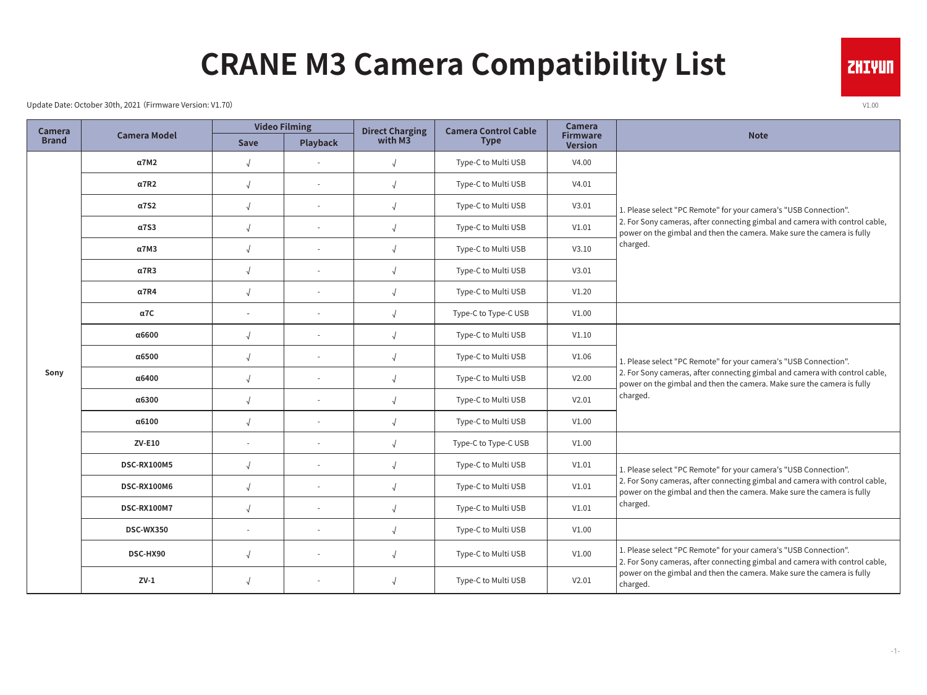## **CRANE M3 Camera Compatibility List**

Update Date: October 30th, 2021 (Firmware Version: V1.70) v1.00

| <b>Camera</b><br><b>Brand</b> | <b>Camera Model</b> | <b>Video Filming</b> |                 | <b>Direct Charging</b> | <b>Camera Control Cable</b> | <b>Camera</b>                     |                                                                                                                                                                                                                                       |
|-------------------------------|---------------------|----------------------|-----------------|------------------------|-----------------------------|-----------------------------------|---------------------------------------------------------------------------------------------------------------------------------------------------------------------------------------------------------------------------------------|
|                               |                     | Save                 | <b>Playback</b> | with M3                | <b>Type</b>                 | <b>Firmware</b><br><b>Version</b> | <b>Note</b>                                                                                                                                                                                                                           |
| Sony                          | $\alpha$ 7M2        | $\sqrt{ }$           |                 | $\sqrt{ }$             | Type-C to Multi USB         | V4.00                             | 1. Please select "PC Remote" for your camera's "USB Connection".<br>2. For Sony cameras, after connecting gimbal and camera with control cable,<br>power on the gimbal and then the camera. Make sure the camera is fully<br>charged. |
|                               | $\alpha$ 7R2        | $\sqrt{ }$           |                 | $\sqrt{2}$             | Type-C to Multi USB         | V4.01                             |                                                                                                                                                                                                                                       |
|                               | <b>α7S2</b>         | $\sqrt{ }$           |                 | $\sqrt{2}$             | Type-C to Multi USB         | V3.01                             |                                                                                                                                                                                                                                       |
|                               | $\alpha$ 7S3        | $\sqrt{ }$           |                 | $\sqrt{2}$             | Type-C to Multi USB         | V1.01                             |                                                                                                                                                                                                                                       |
|                               | $\alpha$ 7M3        | $\sqrt{ }$           | $\sim$          | $\sqrt{2}$             | Type-C to Multi USB         | V3.10                             |                                                                                                                                                                                                                                       |
|                               | $\alpha$ 7R3        | $\sqrt{ }$           |                 | $\sqrt{2}$             | Type-C to Multi USB         | V3.01                             |                                                                                                                                                                                                                                       |
|                               | $\alpha$ 7R4        | $\sqrt{ }$           |                 | $\sqrt{ }$             | Type-C to Multi USB         | V1.20                             |                                                                                                                                                                                                                                       |
|                               | $\alpha$ 7C         | $\sim$               |                 | $\sqrt{2}$             | Type-C to Type-C USB        | V1.00                             |                                                                                                                                                                                                                                       |
|                               | α6600               | $\sqrt{ }$           |                 | $\sqrt{ }$             | Type-C to Multi USB         | V1.10                             | 1. Please select "PC Remote" for your camera's "USB Connection".<br>2. For Sony cameras, after connecting gimbal and camera with control cable,<br>power on the gimbal and then the camera. Make sure the camera is fully<br>charged. |
|                               | α6500               | $\sqrt{ }$           |                 | $\sqrt{ }$             | Type-C to Multi USB         | V1.06                             |                                                                                                                                                                                                                                       |
|                               | α6400               | $\sqrt{ }$           |                 | $\sqrt{2}$             | Type-C to Multi USB         | V2.00                             |                                                                                                                                                                                                                                       |
|                               | α6300               | $\sqrt{ }$           |                 | $\sqrt{ }$             | Type-C to Multi USB         | V2.01                             |                                                                                                                                                                                                                                       |
|                               | $\alpha$ 6100       | $\sqrt{ }$           |                 | $\sqrt{ }$             | Type-C to Multi USB         | V1.00                             |                                                                                                                                                                                                                                       |
|                               | $ZV-E10$            | $\sim$               | $\sim$          | $\sqrt{ }$             | Type-C to Type-C USB        | V1.00                             |                                                                                                                                                                                                                                       |
|                               | <b>DSC-RX100M5</b>  | $\sqrt{ }$           |                 | $\sqrt{2}$             | Type-C to Multi USB         | V1.01                             | 1. Please select "PC Remote" for your camera's "USB Connection".<br>2. For Sony cameras, after connecting gimbal and camera with control cable,<br>power on the gimbal and then the camera. Make sure the camera is fully<br>charged. |
|                               | DSC-RX100M6         | $\sqrt{ }$           |                 | $\sqrt{ }$             | Type-C to Multi USB         | V1.01                             |                                                                                                                                                                                                                                       |
|                               | DSC-RX100M7         | $\sqrt{ }$           |                 | $\sqrt{ }$             | Type-C to Multi USB         | V1.01                             |                                                                                                                                                                                                                                       |
|                               | DSC-WX350           | $\sim$               | $\sim$          | $\sqrt{ }$             | Type-C to Multi USB         | V1.00                             |                                                                                                                                                                                                                                       |
|                               | DSC-HX90            | $\sqrt{ }$           |                 | $\sqrt{2}$             | Type-C to Multi USB         | V1.00                             | 1. Please select "PC Remote" for your camera's "USB Connection".<br>2. For Sony cameras, after connecting gimbal and camera with control cable,                                                                                       |
|                               | $ZV-1$              | $\sqrt{2}$           |                 | $\sqrt{ }$             | Type-C to Multi USB         | V2.01                             | power on the gimbal and then the camera. Make sure the camera is fully<br>charged.                                                                                                                                                    |